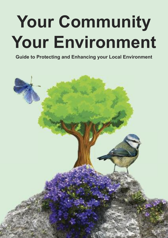# **Your Community Your Environment**

**Guide to Protecting and Enhancing your Local Environment**

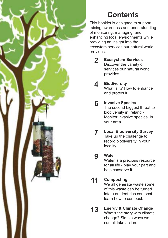

## **Contents**

This booklet is designed to support raising awareness and understanding of monitoring, managing, and enhancing local environments while providing an insight into the ecosytem services our natural world provides.

- **Ecosystem Services** Discover the variety of services our natural world provides. **2**
- **Biodiversity** What is it? How to enhance and protect it. **4**
- **Invasive Species** The second biggest threat to biodiversity in Ireland - Monitor invasive species in your area. **6**
- **Local Biodiversity Survey** Take up the challenge to record biodiversity in your locality. **7**

#### **Water 9**

Water is a precious resource for all life - play your part and help conserve it.

#### **Composting 11**

We all generate waste some of this waste can be turned into a nutrient rich compost learn how to compost.

**Energy & Climate Change** What's the story with climate change? Simple ways we can all take action. **13**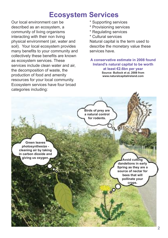### **Ecosystem Services**

Our local environment can be described as an ecosystem, a community of living organisms interacting with their non living physical environment (air, water and soil). Your local ecosystem provides many benefits to your community and collectively these benefits are known as ecosystem services. These services include clean water and air the decomposition of waste, the production of food and amenity resources for your local community. Ecosystem services have four broad categories including:

- \* Supporting services
- \* Provisioning services
- \* Regulating services
- \* Cultural services

Natural capital is the term used to describe the monetary value these services have.

**A conservative estimate in 2008 found Ireland's natural capital to be worth at least €2.6bn per year Source: Bullock et al, 2008 from www.naturalcapitalireland.com**

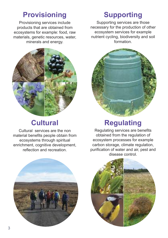### **Provisioning Supporting**

Provisioning services include products that are obtained from ecosystems for example: food, raw materials, genetic resources, water, minerals and energy.





Cultural services are the non material benefits people obtain from ecosystems through spiritual enrichment, cognitive development, reflection and recreation.

Supporting services are those necessary for the production of other ecosystem services for example nutrient cycling, biodiversity and soil formation.



# **Cultural Regulating**

Regulating services are benefits obtained from the regulation of ecosystem processes for example carbon storage, climate regulation, purification of water and air, pest and disease control.



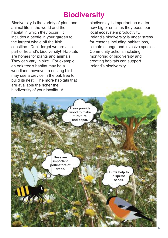### **Biodiversity**

Biodiversity is the variety of plant and animal life in the world and the habitat in which they occur. It includes a beetle in your garden to the largest whale off the Irish coastline. Don't forget we are also part of Ireland's biodiversity! Habitats are homes for plants and animals. They can vary in size. For example an oak tree's habitat may be a woodland, however, a nesting bird may use a crevice in the oak tree to build its nest. The more habitats that are available the richer the biodiversity of your locality. All

biodiversity is important no matter how big or small as they boost our local ecosystem productivity. Ireland's biodiversity is under stress for reasons including habitat loss, climate change and invasive species. Community actions including monitoring of biodiversity and creating habitats can support Ireland's biodiversity.

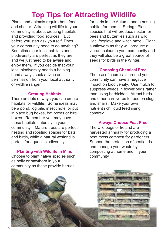### **Top Tips for Attracting Wildlife**

Plants and animals require both food and shelter. Attracting wildlife to your community is about creating habitats and providing food sources. But before you start ask yourself; Does your community need to do anything? Sometimes our local habitats and biodiversity are perfect as they are and we just need to be aware and enjoy them. If you decide that your local biodiversity needs a helping hand always seek advice or permission from your local authority or wildlife ranger.

#### **Creating Habitats**

There are lots of ways you can create habitats for wildlife. Some ideas may be a pond, log pile, insect hotel or put in place bug boxes, bat boxes or bird boxes. Remember you may have these habitats naturally in your community. Mature trees are perfect nesting and roosting spaces for bats and birds, while a natural wetland is perfect for aquatic biodiversity.

#### **Planting with Wildlife in Mind**

Choose to plant native species such as holly or hawthorn in your community as these provide berries

for birds in the Autumn and a nesting habitat for them in Spring. Plant species that will produce nectar for bees and butterflies such as wild lilac, foxglove and witch hazel. Plant sunflowers as they will produce a vibrant colour in your community and they will also be a great source of seeds for birds in the Winter.

#### **Choosing Chemical Free**

The use of chemicals around your community can have a negative impact on biodiversity. Use mulch to suppress weeds in flower beds rather than using herbicides. Attract birds and other carnivores to feed on slugs and snails. Make your own nutrient rich liquid feed using comfrey.

#### **Always Choose Peat Free**

The wild bogs of Ireland are harvested annually for producing a peat moss compost for gardeners. Support the protection of peatlands and manage your waste by composting at home and in your community.

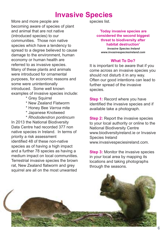### **Invasive Species**

More and more people are becoming aware of species of plant and animal that are not native (introduced species) to our communities. Those non native species which have a tendency to spread to a degree believed to cause damage to the environment, human economy or human health are referred to as invasive species. Many of these plants and animals were introduced for ornamental purposes, for economic reasons and some were unintentionally introduced. Some well known examples of invasive species include:

- \* Grey Squirrel
- \* New Zealand Flatworm
- \* Honey Bee *Varroa* mite
- \* Japanese Knotweed
- \* *Rhododendron pontincum*

In 2013 the National Biodiversity Data Centre had recorded 377 non native species in Ireland. In terms of priority a risk assessment identified 48 of these non-native species as of having a high impact and a further 78 species as having a medium impact on local communities. Terrestrial invasive species the brown rat, New Zealand flatworm and grey squirrel are all on the most unwanted

species list.

*'***Today invasive species are considered the second biggest threat to biodiversity after habitat destruction'**

> *Invasive Species Ireland www.invasivespeciesireland.com*

#### **What To Do?**

It is important to be aware that if you come across an invasive species you should not disturb it in any way. Often our good intentions can lead to further spread of the invasive species.

**Step 1:** Record where you have identified the invasive species and if available take a photograph.

**Step 2:** Report the invasive species to your local authority or online to the National Biodiversity Centre www.biodiversityireland.ie or Invasive Species Ireland www.invasivespeciesireland.com.

**Step 3:** Monitor the invasive species in your local area by mapping its locations and taking photographs through the seasons.

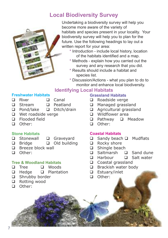### **Local Biodiversity Survey**



Undertaking a biodiversity survey will help you become more aware of the variety of habitats and species present in your locality. Your biodiversity survey will help you to plan for the future. Use the following headings to lay out a written report for your area:

- **\*** Introduction include local history, location of the habitats identified and a map.
- **\*** Methods explain how you carried out the survey and any research that you did.
- **\*** Results should include a habitat and species list.
- **\*** Discussion/Actions what you plan to do to monitor and enhance local biodiversity.

### **Identifying Local Habitats**

#### **Freshwater Habitats**

- $\Box$  River  $\Box$  Canal
- 
- $\Box$  Stream  $\Box$  Peatland
- □ Pond/lake □ Ditch/drain
- **Q** Wet roadside verge
- $\Box$  Flooded field
- n Other:

#### **Stone Habitats**

- **Q** Stonewall **Q** Graveyard
- $\Box$  Bridge  $\Box$  Old building
- $\Box$  Breeze block wall
- □ Other:

#### **Tree & Woodland Habitats**

- $\Box$  Tree  $\Box$  Woods
- $\Box$  Hedge  $\Box$  Plantation
- □ Shrubby border
- □ Rotting wood
- □ Other:

#### **Grassland Habitats**

- $\Box$  Roadside verge
- **Q** Managed grassland
- □ Agricultural grassland
- $\Box$  Wildflower area
- **Q** Pathway **Q** Meadow
- n Other:

#### **Coastal Habitats**

- $\Box$  Sandy beach  $\Box$  Mudflats
- $\Box$  Rocky shore
- $\Box$  Shingle beach
- $\Box$  Saltmarsh  $\Box$  Sand dune
- $\Box$  Harbour  $\Box$  Salt water
- □ Coastal grassland
- **Q** Brackish water body
- □ Estuary/inlet
- □ Other: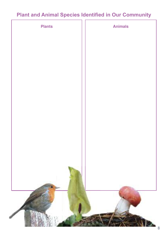### **Plant and Animal Species Identified in Our Community**

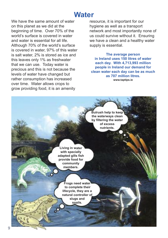### **Water**

We have the same amount of water on this planet as we did at the beginning of time. Over 70% of the world's surface is covered in water and water is essential for all life. Although 70% of the world's surface is covered in water, 97% of this water is salt water, 2% is stored as ice and this leaves only 1% as freshwater that we can use. Today water is precious and this is not because the levels of water have changed but rather consumption has increased over time. Water allows crops to grow providing food, it is an amenity

resource, it is important for our hygiene as well as a transport network and most importantly none of us could survive without it. Ensuring we have a clean and a healthy water supply is essential.

**The average person in Ireland uses 150 litres of water each day. With 4,713,993 million people in Ireland our demand for clean water each day can be as much as 707 million litres. www.taptips.ie**

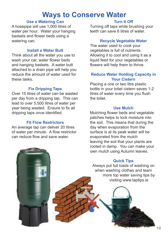### **Ways to Conserve Water**

#### **Use a Watering Can**

A hosepipe will use 1,000 litres of water per hour. Water your hanging baskets and flower beds using a watering can.

#### **Install a Water Butt**

Think about all the water you use to wash your car, water flower beds and hanging baskets. A water butt attached to a drain pipe will help you reduce the amount of water used for these tasks.

#### **Fix Dripping Taps**

Over 15 litres of water can be wasted per day from a dripping tap. This can lead to over 5,500 litres of water per year being wasted. Ensure to fix all dripping taps once identified.

#### **Fit Flow Restrictors**

An average tap can deliver 20 litres of water per minute. A flow restrictor can reduce flow and save water.

### **Turn It Off**

Turning off taps while brushing your teeth can save 6 litres of water.

#### **Recycle Vegetable Water**

The water used to cook your vegetables is full of nutrients. Allowing it to cool and using it as a liquid feed for your vegetables or flowers will help them to thrive.

#### **Reduce Water Holding Capacity in Your Cistern**

Placing a one or two litre plastic bottle in your toliet cistern saves 1-2 litres of water every time you flush the toilet.

#### **Use Mulch**

Mulching flower beds and vegetable patches helps to lock moisture into the soil. This means that during the day when evaporation from the surface is at its peak water will be evaporated from the mulch leaving the soil that your plants are rooted in damp. You can make your own mulch using Autumn leaves.

#### **Quick Tips**

Always put full loads of washing on when washing clothes and learn more top water saving tips by visiting www.taptips.ie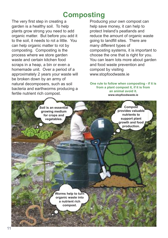### **Composting**

The very first step in creating a garden is a healthy soil. To help plants grow strong you need to add organic matter. But before you add it to the soil, it needs to rot a little. You can help organic matter to rot by composting. Composting is the process where we store garden waste and certain kitchen food scraps in a heap, a bin or even a homemade unit. Over a period of a approximately 2 years your waste will be broken down by an army of natural decomposers, such as soil bacteria and earthworms producing a fertile nutrient rich compost.

Producing your own compost can help save money, it can help to protect Ireland's peatlands and reduce the amount of organic waste going to landfill sites. There are many different types of composting systems, it is important to choose the one that is right for you. You can learn lots more about garden and food waste prevention and compost by visiting www.stopfoodwaste.ie

**One rule to follow when composting - if it is from a plant compost it, if it is from an animal avoid it. www.stopfoodwaste.ie**

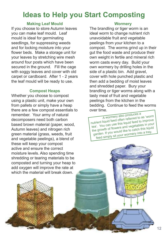### **Ideas to Help you Start Composting**

#### **Making Leaf Mould**

If you choose to store Autumn leaves you can make leaf mould. Leaf mould is ideal for germinating seedlings, for suppressing weeds and for locking moisture into your flower beds. Make a storage unit for your leaves by stretching wire mesh around four posts which have been secured in the ground. Fill the cage with soggy leaves and cover with old carpet or cardboard. After 1 - 2 years the leaf mould will be ready to use.

#### **Compost Heaps**

Whether you choose to compost using a plastic unit, make your own from pallets or simply have a heap there are a few compost essentials to remember. Your army of natural decomposers need both carbon based brown material (paper, wood, Autumn leaves) and nitrogen rich green material (grass, weeds, fruit and vegetable peelings), a blend of these will keep your compost active and ensure the correct moisture levels. Also spending time shredding or tearing materials to be composted and turning your heap to add oxygen will improve the rate at which the material will break down

#### **Wormery**

The brandling or tiger worm is an ideal worm to change nutrient rich unavoidable fruit and vegetable peelings from your kitchen to a compost. The worms grind up in their gut the food waste and produce their own weight in fertile and mineral rich worm casts every day. Build your own wormery by drilling holes in the side of a plastic bin. Add gravel. cover with hole punched plastic and then add a bedding of moist leaves and shredded paper. Bury your brandling or tiger worms along with a tasty meal of fruit and vegetable peelings from the kitchen in the bedding. Continue to feed the worms over time.

<sup>A</sup> wormery also produces <sup>a</sup> nutrien<sup>t</sup> liquid feed often referred to as 'worm tea'. You can use this liquid feed to improve the growth of flowers and vegetables in your garden. If you would like to catch this liquid feed simply sit your wormery into <sup>a</sup> tray.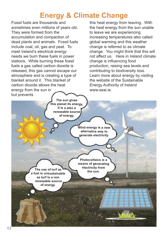### **Energy & Climate Change**

Fossil fuels are thousands and sometimes even millions of years old. They were formed from the accumulation and compaction of dead plants and animals. Fossil fuels include coal, oil, gas and peat. To meet Ireland's electrical energy needs we burn these fuels in power stations. While burning these fossil fuels a gas called carbon dioxide is released, this gas cannot escape our atmosphere and is creating a type of blanket around it. This blanket of carbon dioxide allows the heat energy from the sun in but prevents

> **The sun gives this planet its energy, it is a also a renewable source of energy.**

this heat energy from leaving. With the heat energy from the sun unable to leave we are experiencing increasing temperatures also called global warming and this weather change is referred to as climate change. You might think that this will not affect us. Here in Ireland climate change is influencing food production, raising sea levels and contributing to biodiversity loss. Learn more about energy by visiting the website of the Sustainable Energy Authority of Ireland www.seai.ie.

**Wind energy is <sup>a</sup> new alternative way to generate electricity.**

**The use of turf as a fuel is unsustainable as turf is a non renewable source of energy.**

**Photovoltaics is a means of generating electricity from the sun.**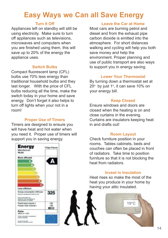### **Easy Ways we Can all Save Energy**

#### **Turn It Off**

Appliances left on standby will still be using electricity. Make sure to turn off appliances such as televisions, microwaves and computers when you are finished using them, this will save up to 20% of the energy the appliance uses.

#### **Switch Bulbs**

Compact fluorescent lamp (CFL) bulbs use 70% less energy than traditional household bulbs and they last longer. With the price of CFL bulbs reducing all the time, make the switch today in your home and save energy. Don't forget it also helps to turn off lights when your not in a room!

#### **Proper Use of Timers**

Timers are designed to ensure you will have heat and hot water when you need it. Proper use of timers will support you in saving energy.



#### **Leave the Car at Home**

Most cars are burning petrol and diesel and from the exhaust pipe carbon dioxide is emitted into the atmosphere. For short distances walking and cycling will help you both save money and help the environment. Proper planning and use of public transport are also ways to support you in energy saving.

#### **Lower Your Thermostat**

By turning down a thermostat set at  $20^\circ$  by just 1°, it can save 10% on your energy bill.

#### **Keep Closed**

Ensure windows and doors are closed when the heating is on and close curtains in the evening. Curtains are insulators keeping heat in and drafts out!

#### **Room Layout**

Check furniture position in your rooms. Tables cabinets, beds and couches can often be placed in front of radiators. Take time to position furniture so that it is not blocking the heat from radiators.

#### **Invest in Insulation**

Heat rises so make the most of the heat you produce in your home by having your attic insulated.